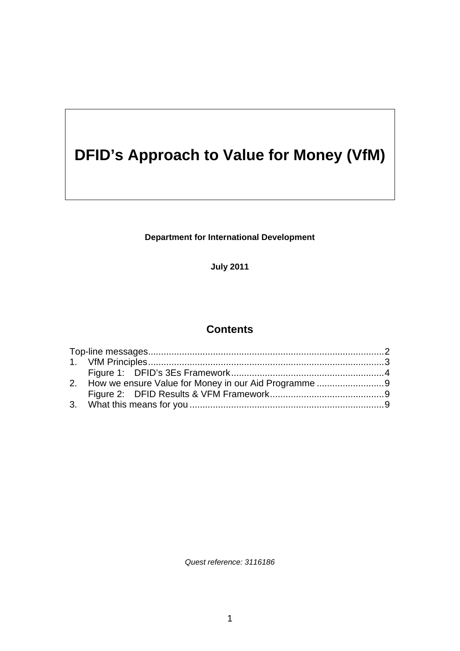# <span id="page-0-0"></span>**DFID's Approach to Value for Money (VfM)**

**Department for International Development** 

**July 2011** 

# **Contents**

*Quest reference: 3116186*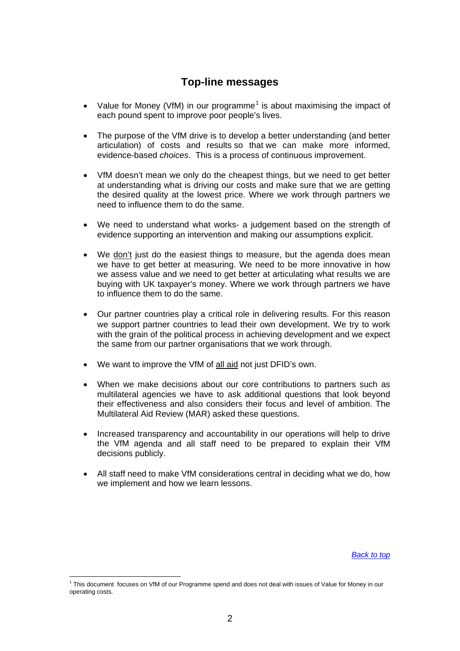## **Top-line messages**

- <span id="page-1-0"></span>• Value for Money (VfM) in our programme<sup>[1](#page-1-1)</sup> is about maximising the impact of each pound spent to improve poor people's lives.
- The purpose of the VfM drive is to develop a better understanding (and better articulation) of costs and results so that we can make more informed, evidence-based *choices*. This is a process of continuous improvement.
- VfM doesn't mean we only do the cheapest things, but we need to get better at understanding what is driving our costs and make sure that we are getting the desired quality at the lowest price. Where we work through partners we need to influence them to do the same.
- We need to understand what works- a judgement based on the strength of evidence supporting an intervention and making our assumptions explicit.
- We don't just do the easiest things to measure, but the agenda does mean we have to get better at measuring. We need to be more innovative in how we assess value and we need to get better at articulating what results we are buying with UK taxpayer's money. Where we work through partners we have to influence them to do the same.
- Our partner countries play a critical role in delivering results. For this reason we support partner countries to lead their own development. We try to work with the grain of the political process in achieving development and we expect the same from our partner organisations that we work through.
- We want to improve the VfM of all aid not just DFID's own.
- When we make decisions about our core contributions to partners such as multilateral agencies we have to ask additional questions that look beyond their effectiveness and also considers their focus and level of ambition. The Multilateral Aid Review (MAR) asked these questions.
- Increased transparency and accountability in our operations will help to drive the VfM agenda and all staff need to be prepared to explain their VfM decisions publicly.
- All staff need to make VfM considerations central in deciding what we do, how we implement and how we learn lessons.

*[Back to top](#page-0-0)*

1

<span id="page-1-1"></span><sup>1</sup> This document focuses on VfM of our Programme spend and does not deal with issues of Value for Money in our operating costs.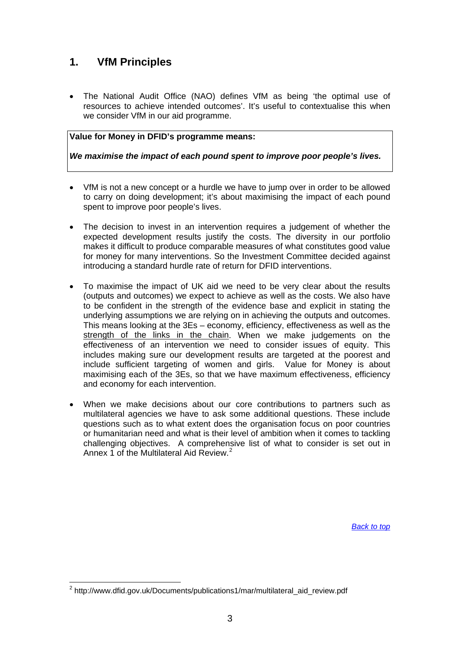# <span id="page-2-0"></span>**1. VfM Principles**

 The National Audit Office (NAO) defines VfM as being 'the optimal use of resources to achieve intended outcomes'. It's useful to contextualise this when we consider VfM in our aid programme.

#### **Value for Money in DFID's programme means:**

*We maximise the impact of each pound spent to improve poor people's lives.* 

- VfM is not a new concept or a hurdle we have to jump over in order to be allowed to carry on doing development; it's about maximising the impact of each pound spent to improve poor people's lives.
- The decision to invest in an intervention requires a judgement of whether the expected development results justify the costs. The diversity in our portfolio makes it difficult to produce comparable measures of what constitutes good value for money for many interventions. So the Investment Committee decided against introducing a standard hurdle rate of return for DFID interventions.
- To maximise the impact of UK aid we need to be very clear about the results (outputs and outcomes) we expect to achieve as well as the costs. We also have to be confident in the strength of the evidence base and explicit in stating the underlying assumptions we are relying on in achieving the outputs and outcomes. This means looking at the 3Es – economy, efficiency, effectiveness as well as the strength of the links in the chain. When we make judgements on the effectiveness of an intervention we need to consider issues of equity. This includes making sure our development results are targeted at the poorest and include sufficient targeting of women and girls. Value for Money is about maximising each of the 3Es, so that we have maximum effectiveness, efficiency and economy for each intervention.
- When we make decisions about our core contributions to partners such as multilateral agencies we have to ask some additional questions. These include questions such as to what extent does the organisation focus on poor countries or humanitarian need and what is their level of ambition when it comes to tackling challenging objectives. A comprehensive list of what to consider is set out in Annex 1 of the Multilateral Aid Review.<sup>[2](#page-2-1)</sup>

*[Back to top](#page-0-0)*

1

<span id="page-2-1"></span><sup>&</sup>lt;sup>2</sup> http://www.dfid.gov.uk/Documents/publications1/mar/multilateral\_aid\_review.pdf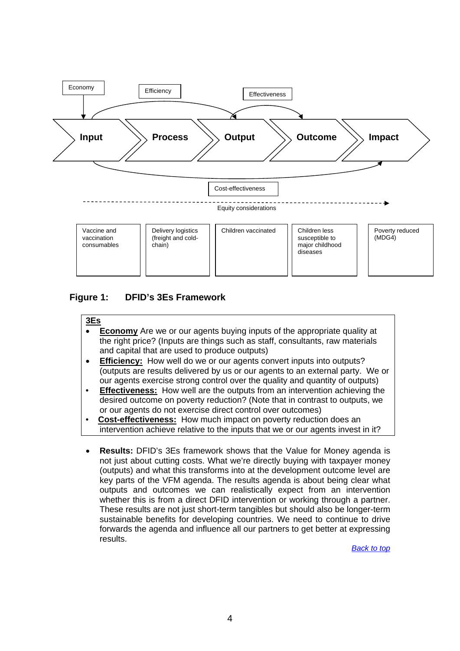

### <span id="page-3-0"></span>**Figure 1: DFID's 3Es Framework**

#### **3Es**

- **Economy** Are we or our agents buying inputs of the appropriate quality at the right price? (Inputs are things such as staff, consultants, raw materials and capital that are used to produce outputs)
- **Efficiency:** How well do we or our agents convert inputs into outputs? (outputs are results delivered by us or our agents to an external party. We or our agents exercise strong control over the quality and quantity of outputs)
- **Effectiveness:** How well are the outputs from an intervention achieving the desired outcome on poverty reduction? (Note that in contrast to outputs, we or our agents do not exercise direct control over outcomes)
- **Cost-effectiveness:** How much impact on poverty reduction does an intervention achieve relative to the inputs that we or our agents invest in it?
- **Results:** DFID's 3Es framework shows that the Value for Money agenda is not just about cutting costs. What we're directly buying with taxpayer money (outputs) and what this transforms into at the development outcome level are key parts of the VFM agenda. The results agenda is about being clear what outputs and outcomes we can realistically expect from an intervention whether this is from a direct DFID intervention or working through a partner. These results are not just short-term tangibles but should also be longer-term sustainable benefits for developing countries. We need to continue to drive forwards the agenda and influence all our partners to get better at expressing results.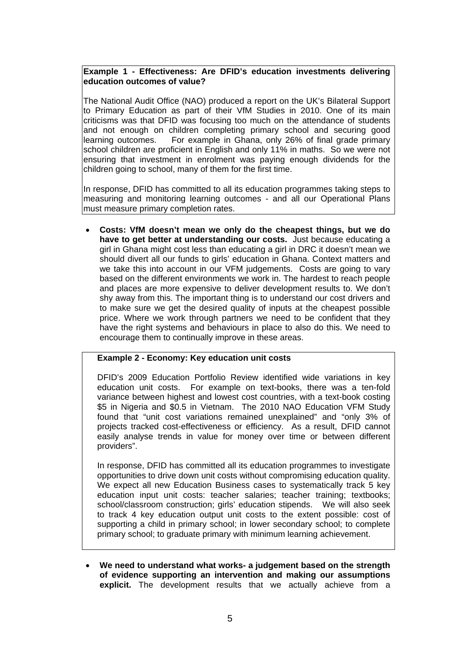### **Example 1 - Effectiveness: Are DFID's education investments delivering education outcomes of value?**

The National Audit Office (NAO) produced a report on the UK's Bilateral Support to Primary Education as part of their VfM Studies in 2010. One of its main criticisms was that DFID was focusing too much on the attendance of students and not enough on children completing primary school and securing good learning outcomes. For example in Ghana, only 26% of final grade primary school children are proficient in English and only 11% in maths. So we were not ensuring that investment in enrolment was paying enough dividends for the children going to school, many of them for the first time.

In response, DFID has committed to all its education programmes taking steps to measuring and monitoring learning outcomes - and all our Operational Plans must measure primary completion rates.

 **Costs: VfM doesn't mean we only do the cheapest things, but we do have to get better at understanding our costs.** Just because educating a girl in Ghana might cost less than educating a girl in DRC it doesn't mean we should divert all our funds to girls' education in Ghana. Context matters and we take this into account in our VFM judgements. Costs are going to vary based on the different environments we work in. The hardest to reach people and places are more expensive to deliver development results to. We don't shy away from this. The important thing is to understand our cost drivers and to make sure we get the desired quality of inputs at the cheapest possible price. Where we work through partners we need to be confident that they have the right systems and behaviours in place to also do this. We need to encourage them to continually improve in these areas.

### **Example 2 - Economy: Key education unit costs**

DFID's 2009 Education Portfolio Review identified wide variations in key education unit costs. For example on text-books, there was a ten-fold variance between highest and lowest cost countries, with a text-book costing \$5 in Nigeria and \$0.5 in Vietnam. The 2010 NAO Education VFM Study found that "unit cost variations remained unexplained" and "only 3% of projects tracked cost-effectiveness or efficiency. As a result, DFID cannot easily analyse trends in value for money over time or between different providers".

In response, DFID has committed all its education programmes to investigate opportunities to drive down unit costs without compromising education quality. We expect all new Education Business cases to systematically track 5 key education input unit costs: teacher salaries; teacher training; textbooks; school/classroom construction; girls' education stipends. We will also seek to track 4 key education output unit costs to the extent possible: cost of supporting a child in primary school; in lower secondary school; to complete primary school; to graduate primary with minimum learning achievement.

 **We need to understand what works- a judgement based on the strength of evidence supporting an intervention and making our assumptions explicit.** The development results that we actually achieve from a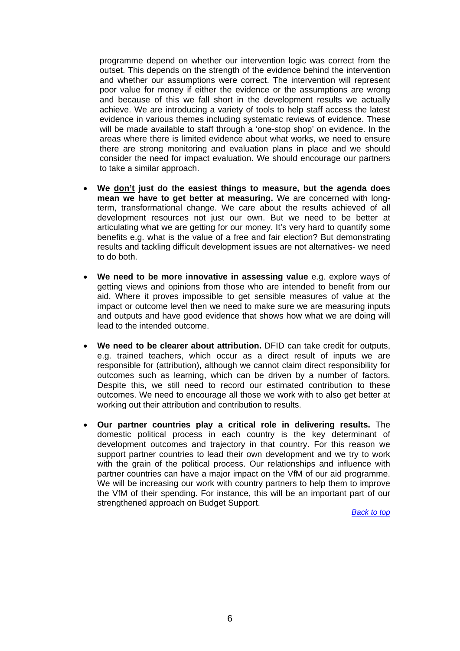programme depend on whether our intervention logic was correct from the outset. This depends on the strength of the evidence behind the intervention and whether our assumptions were correct. The intervention will represent poor value for money if either the evidence or the assumptions are wrong and because of this we fall short in the development results we actually achieve. We are introducing a variety of tools to help staff access the latest evidence in various themes including systematic reviews of evidence. These will be made available to staff through a 'one-stop shop' on evidence. In the areas where there is limited evidence about what works, we need to ensure there are strong monitoring and evaluation plans in place and we should consider the need for impact evaluation. We should encourage our partners to take a similar approach.

- **We don't just do the easiest things to measure, but the agenda does mean we have to get better at measuring.** We are concerned with longterm, transformational change. We care about the results achieved of all development resources not just our own. But we need to be better at articulating what we are getting for our money. It's very hard to quantify some benefits e.g. what is the value of a free and fair election? But demonstrating results and tackling difficult development issues are not alternatives- we need to do both.
- **We need to be more innovative in assessing value** e.g. explore ways of getting views and opinions from those who are intended to benefit from our aid. Where it proves impossible to get sensible measures of value at the impact or outcome level then we need to make sure we are measuring inputs and outputs and have good evidence that shows how what we are doing will lead to the intended outcome.
- **We need to be clearer about attribution.** DFID can take credit for outputs, e.g. trained teachers, which occur as a direct result of inputs we are responsible for (attribution), although we cannot claim direct responsibility for outcomes such as learning, which can be driven by a number of factors. Despite this, we still need to record our estimated contribution to these outcomes. We need to encourage all those we work with to also get better at working out their attribution and contribution to results.
- **Our partner countries play a critical role in delivering results.** The domestic political process in each country is the key determinant of development outcomes and trajectory in that country. For this reason we support partner countries to lead their own development and we try to work with the grain of the political process. Our relationships and influence with partner countries can have a major impact on the VfM of our aid programme. We will be increasing our work with country partners to help them to improve the VfM of their spending. For instance, this will be an important part of our strengthened approach on Budget Support.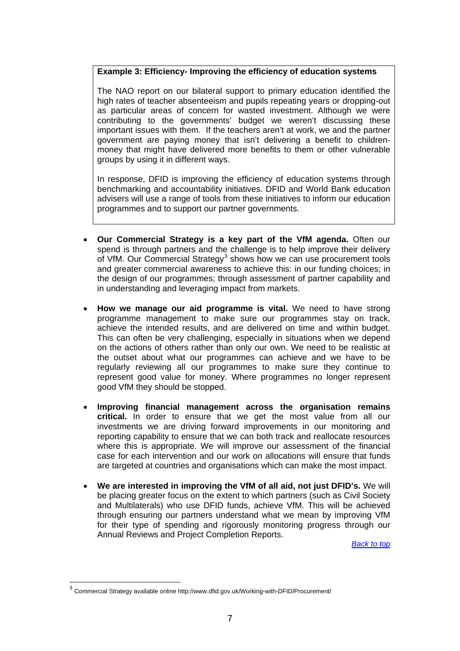### **Example 3: Efficiency- Improving the efficiency of education systems**

The NAO report on our bilateral support to primary education identified the high rates of teacher absenteeism and pupils repeating years or dropping-out as particular areas of concern for wasted investment. Although we were contributing to the governments' budget we weren't discussing these important issues with them. If the teachers aren't at work, we and the partner government are paying money that isn't delivering a benefit to childrenmoney that might have delivered more benefits to them or other vulnerable groups by using it in different ways.

In response, DFID is improving the efficiency of education systems through benchmarking and accountability initiatives. DFID and World Bank education advisers will use a range of tools from these initiatives to inform our education programmes and to support our partner governments.

- **Our Commercial Strategy is a key part of the VfM agenda.** Often our spend is through partners and the challenge is to help improve their delivery of VfM. Our Commercial Strategy<sup>[3](#page-6-0)</sup> shows how we can use procurement tools and greater commercial awareness to achieve this: in our funding choices; in the design of our programmes; through assessment of partner capability and in understanding and leveraging impact from markets.
- **How we manage our aid programme is vital.** We need to have strong programme management to make sure our programmes stay on track, achieve the intended results, and are delivered on time and within budget. This can often be very challenging, especially in situations when we depend on the actions of others rather than only our own. We need to be realistic at the outset about what our programmes can achieve and we have to be regularly reviewing all our programmes to make sure they continue to represent good value for money. Where programmes no longer represent good VfM they should be stopped.
- **Improving financial management across the organisation remains critical.** In order to ensure that we get the most value from all our investments we are driving forward improvements in our monitoring and reporting capability to ensure that we can both track and reallocate resources where this is appropriate. We will improve our assessment of the financial case for each intervention and our work on allocations will ensure that funds are targeted at countries and organisations which can make the most impact.
- **We are interested in improving the VfM of all aid, not just DFID's.** We will be placing greater focus on the extent to which partners (such as Civil Society and Multilaterals) who use DFID funds, achieve VfM. This will be achieved through ensuring our partners understand what we mean by improving VfM for their type of spending and rigorously monitoring progress through our Annual Reviews and Project Completion Reports.

*[Back to top](#page-0-0)*

1

<span id="page-6-0"></span> $3$  Commercial Strategy available online http://www.dfid.gov.uk/Working-with-DFID/Procurement/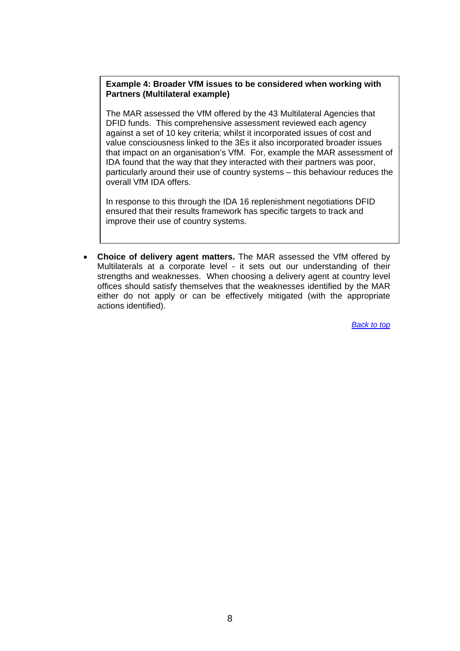### **Example 4: Broader VfM issues to be considered when working with Partners (Multilateral example)**

The MAR assessed the VfM offered by the 43 Multilateral Agencies that DFID funds. This comprehensive assessment reviewed each agency against a set of 10 key criteria; whilst it incorporated issues of cost and value consciousness linked to the 3Es it also incorporated broader issues that impact on an organisation's VfM. For, example the MAR assessment of IDA found that the way that they interacted with their partners was poor, particularly around their use of country systems – this behaviour reduces the overall VfM IDA offers.

In response to this through the IDA 16 replenishment negotiations DFID ensured that their results framework has specific targets to track and improve their use of country systems.

 **Choice of delivery agent matters.** The MAR assessed the VfM offered by Multilaterals at a corporate level - it sets out our understanding of their strengths and weaknesses. When choosing a delivery agent at country level offices should satisfy themselves that the weaknesses identified by the MAR either do not apply or can be effectively mitigated (with the appropriate actions identified).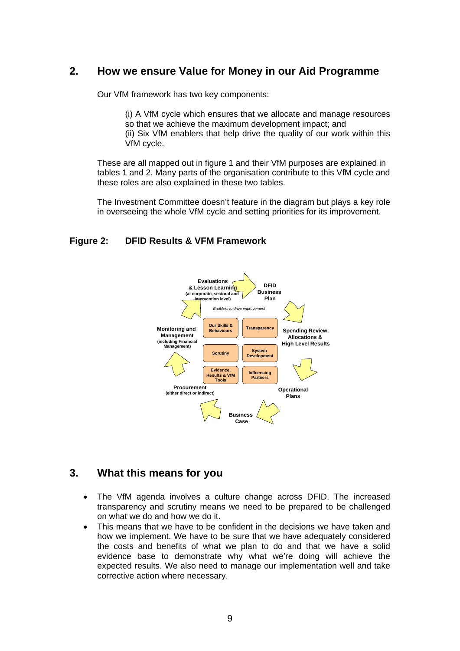## <span id="page-8-0"></span>**2. How we ensure Value for Money in our Aid Programme**

Our VfM framework has two key components:

(i) A VfM cycle which ensures that we allocate and manage resources so that we achieve the maximum development impact; and (ii) Six VfM enablers that help drive the quality of our work within this VfM cycle.

These are all mapped out in figure 1 and their VfM purposes are explained in tables 1 and 2. Many parts of the organisation contribute to this VfM cycle and these roles are also explained in these two tables.

The Investment Committee doesn't feature in the diagram but plays a key role in overseeing the whole VfM cycle and setting priorities for its improvement.

### <span id="page-8-1"></span>**Figure 2: DFID Results & VFM Framework**



## <span id="page-8-2"></span>**3. What this means for you**

- The VfM agenda involves a culture change across DFID. The increased transparency and scrutiny means we need to be prepared to be challenged on what we do and how we do it.
- This means that we have to be confident in the decisions we have taken and how we implement. We have to be sure that we have adequately considered the costs and benefits of what we plan to do and that we have a solid evidence base to demonstrate why what we're doing will achieve the expected results. We also need to manage our implementation well and take corrective action where necessary.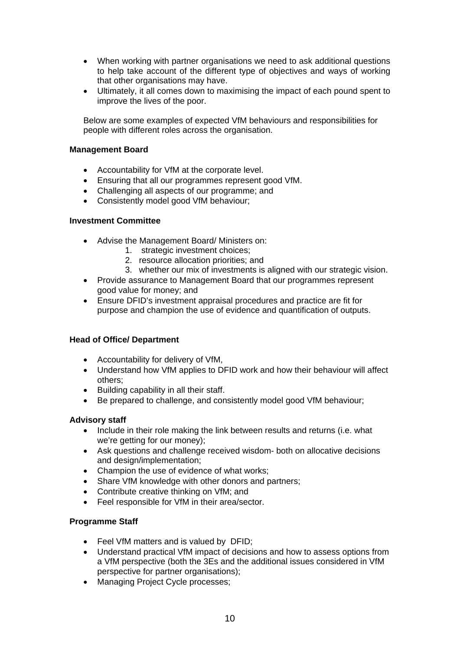- When working with partner organisations we need to ask additional questions to help take account of the different type of objectives and ways of working that other organisations may have.
- Ultimately, it all comes down to maximising the impact of each pound spent to improve the lives of the poor.

Below are some examples of expected VfM behaviours and responsibilities for people with different roles across the organisation.

### **Management Board**

- Accountability for VfM at the corporate level.
- Ensuring that all our programmes represent good VfM.
- Challenging all aspects of our programme; and
- Consistently model good VfM behaviour;

### **Investment Committee**

- Advise the Management Board/ Ministers on:
	- 1. strategic investment choices;
	- 2. resource allocation priorities; and
	- 3. whether our mix of investments is aligned with our strategic vision.
- Provide assurance to Management Board that our programmes represent good value for money; and
- Ensure DFID's investment appraisal procedures and practice are fit for purpose and champion the use of evidence and quantification of outputs.

### **Head of Office/ Department**

- Accountability for delivery of VfM,
- Understand how VfM applies to DFID work and how their behaviour will affect others;
- Building capability in all their staff.
- Be prepared to challenge, and consistently model good VfM behaviour;

### **Advisory staff**

- Include in their role making the link between results and returns (i.e. what we're getting for our money);
- Ask questions and challenge received wisdom- both on allocative decisions and design/implementation;
- Champion the use of evidence of what works:
- Share VfM knowledge with other donors and partners;
- Contribute creative thinking on VfM; and
- Feel responsible for VfM in their area/sector.

### **Programme Staff**

- Feel VfM matters and is valued by DFID:
- Understand practical VfM impact of decisions and how to assess options from a VfM perspective (both the 3Es and the additional issues considered in VfM perspective for partner organisations);
- Managing Project Cycle processes;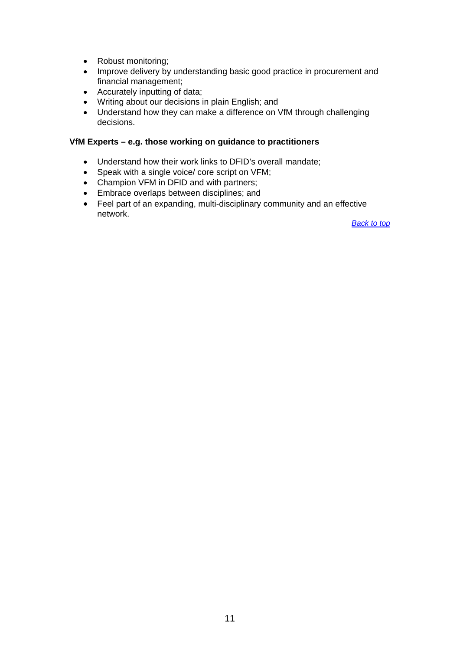- Robust monitoring;
- Improve delivery by understanding basic good practice in procurement and financial management;
- Accurately inputting of data;
- Writing about our decisions in plain English; and
- Understand how they can make a difference on VfM through challenging decisions.

### **VfM Experts – e.g. those working on guidance to practitioners**

- Understand how their work links to DFID's overall mandate;
- Speak with a single voice/ core script on VFM;
- Champion VFM in DFID and with partners;
- **Embrace overlaps between disciplines; and**
- Feel part of an expanding, multi-disciplinary community and an effective network.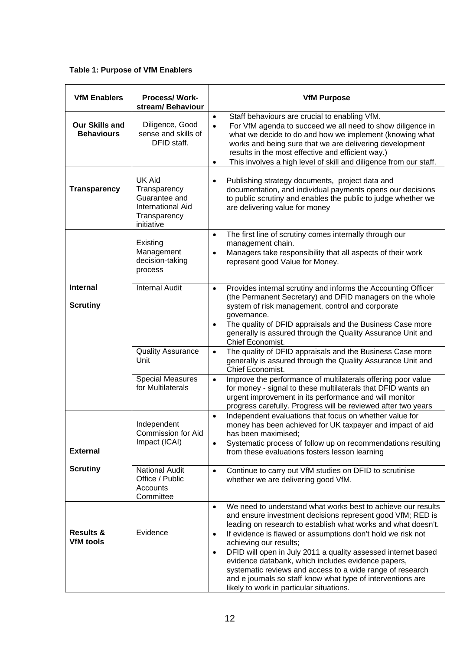**Table 1: Purpose of VfM Enablers** 

| <b>VfM Enablers</b>                        | <b>Process/Work-</b><br>stream/ Behaviour                                                                | <b>VfM Purpose</b>                                                                                                                                                                                                                                                                                                                                                                                                                                                                                                                                                                                                         |
|--------------------------------------------|----------------------------------------------------------------------------------------------------------|----------------------------------------------------------------------------------------------------------------------------------------------------------------------------------------------------------------------------------------------------------------------------------------------------------------------------------------------------------------------------------------------------------------------------------------------------------------------------------------------------------------------------------------------------------------------------------------------------------------------------|
| <b>Our Skills and</b><br><b>Behaviours</b> | Diligence, Good<br>sense and skills of<br>DFID staff.                                                    | Staff behaviours are crucial to enabling VfM.<br>$\bullet$<br>For VfM agenda to succeed we all need to show diligence in<br>$\bullet$<br>what we decide to do and how we implement (knowing what<br>works and being sure that we are delivering development<br>results in the most effective and efficient way.)<br>This involves a high level of skill and diligence from our staff.<br>$\bullet$                                                                                                                                                                                                                         |
| <b>Transparency</b>                        | <b>UK Aid</b><br>Transparency<br>Guarantee and<br><b>International Aid</b><br>Transparency<br>initiative | Publishing strategy documents, project data and<br>$\bullet$<br>documentation, and individual payments opens our decisions<br>to public scrutiny and enables the public to judge whether we<br>are delivering value for money                                                                                                                                                                                                                                                                                                                                                                                              |
|                                            | Existing<br>Management<br>decision-taking<br>process                                                     | The first line of scrutiny comes internally through our<br>$\bullet$<br>management chain.<br>Managers take responsibility that all aspects of their work<br>$\bullet$<br>represent good Value for Money.                                                                                                                                                                                                                                                                                                                                                                                                                   |
| <b>Internal</b><br><b>Scrutiny</b>         | <b>Internal Audit</b>                                                                                    | Provides internal scrutiny and informs the Accounting Officer<br>$\bullet$<br>(the Permanent Secretary) and DFID managers on the whole<br>system of risk management, control and corporate<br>governance.<br>The quality of DFID appraisals and the Business Case more<br>$\bullet$<br>generally is assured through the Quality Assurance Unit and<br>Chief Economist.                                                                                                                                                                                                                                                     |
|                                            | <b>Quality Assurance</b><br>Unit                                                                         | The quality of DFID appraisals and the Business Case more<br>$\bullet$<br>generally is assured through the Quality Assurance Unit and<br>Chief Economist.                                                                                                                                                                                                                                                                                                                                                                                                                                                                  |
|                                            | <b>Special Measures</b><br>for Multilaterals                                                             | Improve the performance of multilaterals offering poor value<br>$\bullet$<br>for money - signal to these multilaterals that DFID wants an<br>urgent improvement in its performance and will monitor<br>progress carefully. Progress will be reviewed after two years                                                                                                                                                                                                                                                                                                                                                       |
| <b>External</b>                            | Independent<br><b>Commission for Aid</b><br>Impact (ICAI)                                                | Independent evaluations that focus on whether value for<br>$\bullet$<br>money has been achieved for UK taxpayer and impact of aid<br>has been maximised;<br>Systematic process of follow up on recommendations resulting<br>$\bullet$<br>from these evaluations fosters lesson learning                                                                                                                                                                                                                                                                                                                                    |
| <b>Scrutiny</b>                            | <b>National Audit</b><br>Office / Public<br>Accounts<br>Committee                                        | Continue to carry out VfM studies on DFID to scrutinise<br>$\bullet$<br>whether we are delivering good VfM.                                                                                                                                                                                                                                                                                                                                                                                                                                                                                                                |
| <b>Results &amp;</b><br><b>VfM</b> tools   | Evidence                                                                                                 | We need to understand what works best to achieve our results<br>$\bullet$<br>and ensure investment decisions represent good VfM; RED is<br>leading on research to establish what works and what doesn't.<br>If evidence is flawed or assumptions don't hold we risk not<br>$\bullet$<br>achieving our results;<br>DFID will open in July 2011 a quality assessed internet based<br>$\bullet$<br>evidence databank, which includes evidence papers,<br>systematic reviews and access to a wide range of research<br>and e journals so staff know what type of interventions are<br>likely to work in particular situations. |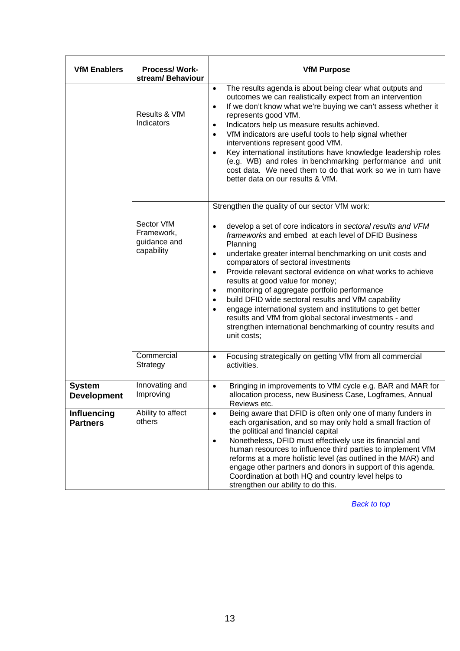| <b>VfM Enablers</b>                   | <b>Process/Work-</b><br>stream/ Behaviour              | <b>VfM Purpose</b>                                                                                                                                                                                                                                                                                                                                                                                                                                                                                                                                                                                                                                                                                             |
|---------------------------------------|--------------------------------------------------------|----------------------------------------------------------------------------------------------------------------------------------------------------------------------------------------------------------------------------------------------------------------------------------------------------------------------------------------------------------------------------------------------------------------------------------------------------------------------------------------------------------------------------------------------------------------------------------------------------------------------------------------------------------------------------------------------------------------|
|                                       | Results & VfM<br>Indicators                            | The results agenda is about being clear what outputs and<br>$\bullet$<br>outcomes we can realistically expect from an intervention<br>If we don't know what we're buying we can't assess whether it<br>$\bullet$<br>represents good VfM.<br>Indicators help us measure results achieved.<br>$\bullet$<br>VfM indicators are useful tools to help signal whether<br>$\bullet$<br>interventions represent good VfM.<br>Key international institutions have knowledge leadership roles<br>$\bullet$<br>(e.g. WB) and roles in benchmarking performance and unit<br>cost data. We need them to do that work so we in turn have<br>better data on our results & VfM.                                                |
|                                       |                                                        | Strengthen the quality of our sector VfM work:                                                                                                                                                                                                                                                                                                                                                                                                                                                                                                                                                                                                                                                                 |
|                                       | Sector VfM<br>Framework,<br>guidance and<br>capability | develop a set of core indicators in sectoral results and VFM<br>$\bullet$<br>frameworks and embed at each level of DFID Business<br>Planning<br>undertake greater internal benchmarking on unit costs and<br>$\bullet$<br>comparators of sectoral investments<br>Provide relevant sectoral evidence on what works to achieve<br>$\bullet$<br>results at good value for money;<br>monitoring of aggregate portfolio performance<br>٠<br>build DFID wide sectoral results and VfM capability<br>$\bullet$<br>engage international system and institutions to get better<br>results and VfM from global sectoral investments - and<br>strengthen international benchmarking of country results and<br>unit costs; |
|                                       | Commercial<br>Strategy                                 | Focusing strategically on getting VfM from all commercial<br>$\bullet$<br>activities.                                                                                                                                                                                                                                                                                                                                                                                                                                                                                                                                                                                                                          |
| <b>System</b><br><b>Development</b>   | Innovating and<br>Improving                            | Bringing in improvements to VfM cycle e.g. BAR and MAR for<br>$\bullet$<br>allocation process, new Business Case, Logframes, Annual<br>Reviews etc.                                                                                                                                                                                                                                                                                                                                                                                                                                                                                                                                                            |
| <b>Influencing</b><br><b>Partners</b> | Ability to affect<br>others                            | Being aware that DFID is often only one of many funders in<br>$\bullet$<br>each organisation, and so may only hold a small fraction of<br>the political and financial capital<br>Nonetheless, DFID must effectively use its financial and<br>$\bullet$<br>human resources to influence third parties to implement VfM<br>reforms at a more holistic level (as outlined in the MAR) and<br>engage other partners and donors in support of this agenda.<br>Coordination at both HQ and country level helps to<br>strengthen our ability to do this.                                                                                                                                                              |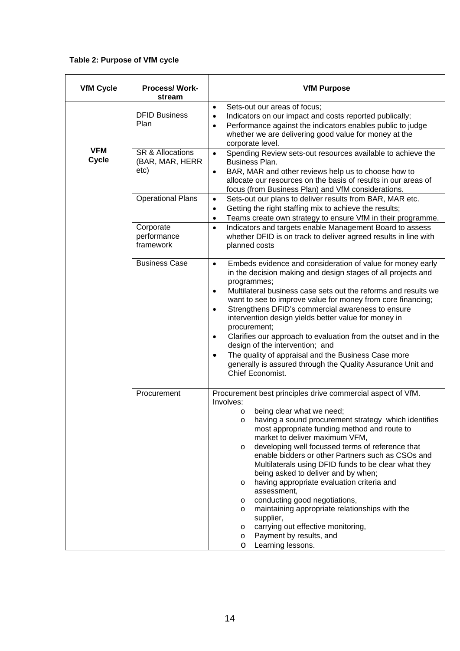### **Table 2: Purpose of VfM cycle**

| <b>VfM Cycle</b>           | <b>Process/Work-</b><br>stream                         | <b>VfM Purpose</b>                                                                                                                                                                                                                                                                                                                                                                                                                                                                                                                                                                                                                                                                                                                                                         |
|----------------------------|--------------------------------------------------------|----------------------------------------------------------------------------------------------------------------------------------------------------------------------------------------------------------------------------------------------------------------------------------------------------------------------------------------------------------------------------------------------------------------------------------------------------------------------------------------------------------------------------------------------------------------------------------------------------------------------------------------------------------------------------------------------------------------------------------------------------------------------------|
|                            | <b>DFID Business</b><br>Plan                           | Sets-out our areas of focus;<br>$\bullet$<br>Indicators on our impact and costs reported publically;<br>$\bullet$<br>Performance against the indicators enables public to judge<br>$\bullet$<br>whether we are delivering good value for money at the<br>corporate level.                                                                                                                                                                                                                                                                                                                                                                                                                                                                                                  |
| <b>VFM</b><br><b>Cycle</b> | <b>SR &amp; Allocations</b><br>(BAR, MAR, HERR<br>etc) | Spending Review sets-out resources available to achieve the<br>$\bullet$<br>Business Plan.<br>BAR, MAR and other reviews help us to choose how to<br>$\bullet$<br>allocate our resources on the basis of results in our areas of<br>focus (from Business Plan) and VfM considerations.                                                                                                                                                                                                                                                                                                                                                                                                                                                                                     |
|                            | <b>Operational Plans</b>                               | Sets-out our plans to deliver results from BAR, MAR etc.<br>$\bullet$<br>Getting the right staffing mix to achieve the results;<br>$\bullet$<br>Teams create own strategy to ensure VfM in their programme.<br>$\bullet$                                                                                                                                                                                                                                                                                                                                                                                                                                                                                                                                                   |
|                            | Corporate<br>performance<br>framework                  | Indicators and targets enable Management Board to assess<br>$\bullet$<br>whether DFID is on track to deliver agreed results in line with<br>planned costs                                                                                                                                                                                                                                                                                                                                                                                                                                                                                                                                                                                                                  |
|                            | <b>Business Case</b>                                   | Embeds evidence and consideration of value for money early<br>$\bullet$<br>in the decision making and design stages of all projects and<br>programmes;<br>Multilateral business case sets out the reforms and results we<br>$\bullet$<br>want to see to improve value for money from core financing;<br>Strengthens DFID's commercial awareness to ensure<br>$\bullet$<br>intervention design yields better value for money in<br>procurement;<br>Clarifies our approach to evaluation from the outset and in the<br>$\bullet$<br>design of the intervention; and<br>The quality of appraisal and the Business Case more<br>٠<br>generally is assured through the Quality Assurance Unit and<br>Chief Economist.                                                           |
|                            | Procurement                                            | Procurement best principles drive commercial aspect of VfM.<br>Involves:<br>being clear what we need;<br>O<br>having a sound procurement strategy which identifies<br>most appropriate funding method and route to<br>market to deliver maximum VFM,<br>developing well focussed terms of reference that<br>$\circ$<br>enable bidders or other Partners such as CSOs and<br>Multilaterals using DFID funds to be clear what they<br>being asked to deliver and by when;<br>having appropriate evaluation criteria and<br>$\circ$<br>assessment,<br>conducting good negotiations,<br>O<br>maintaining appropriate relationships with the<br>$\circ$<br>supplier,<br>carrying out effective monitoring,<br>O<br>Payment by results, and<br>$\circ$<br>Learning lessons.<br>O |